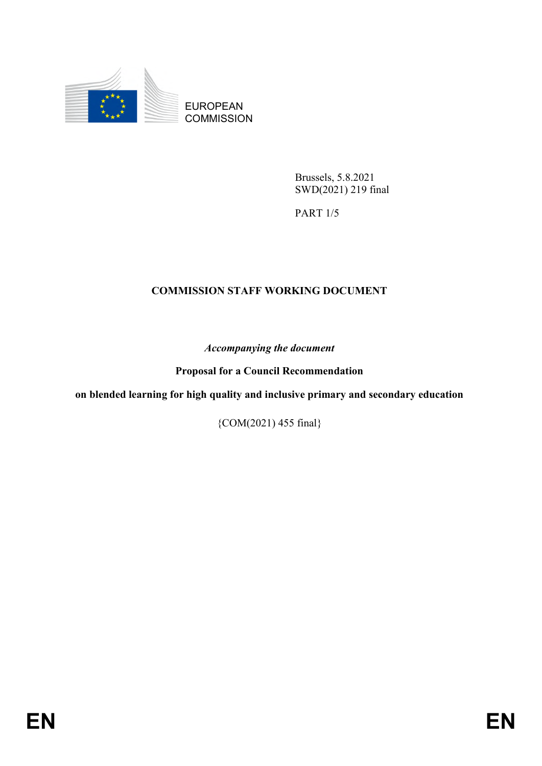

EUROPEAN **COMMISSION** 

> Brussels, 5.8.2021 SWD(2021) 219 final

PART 1/5

#### **COMMISSION STAFF WORKING DOCUMENT**

*Accompanying the document*

**Proposal for a Council Recommendation**

**on blended learning for high quality and inclusive primary and secondary education**

{COM(2021) 455 final}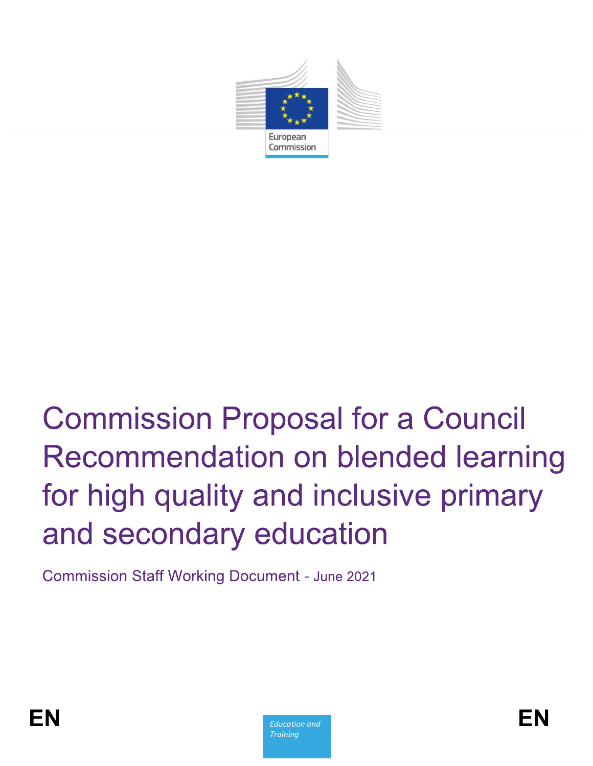

## **Commission Proposal for a Council** Recommendation on blended learning for high quality and inclusive primary and secondary education

**Commission Staff Working Document - June 2021** 

**Education and Training**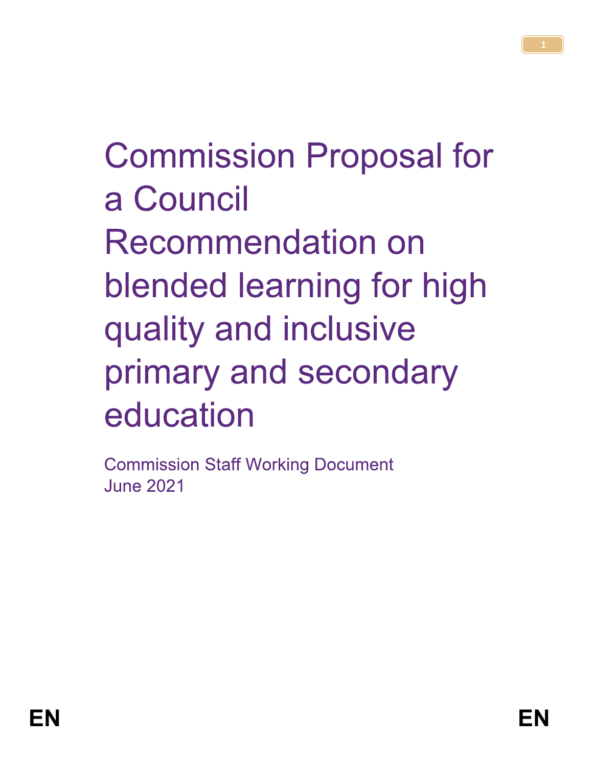# **Commission Proposal for** a Council **Recommendation on** blended learning for high quality and inclusive primary and secondary education

**Commission Staff Working Document June 2021**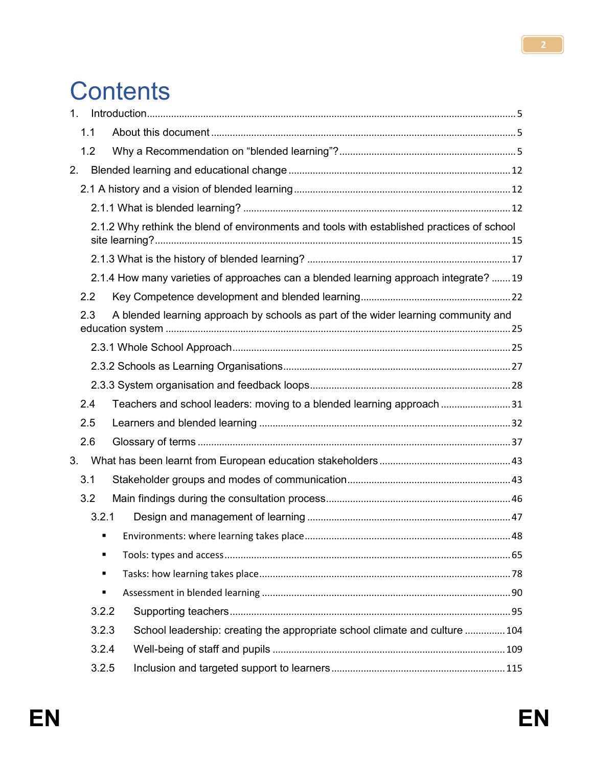## **Contents**

| 1 <sub>1</sub> |     |                                                                                           |                                                                                            |  |  |  |  |  |
|----------------|-----|-------------------------------------------------------------------------------------------|--------------------------------------------------------------------------------------------|--|--|--|--|--|
|                | 1.1 |                                                                                           |                                                                                            |  |  |  |  |  |
|                | 1.2 |                                                                                           |                                                                                            |  |  |  |  |  |
| 2.             |     |                                                                                           |                                                                                            |  |  |  |  |  |
|                |     |                                                                                           |                                                                                            |  |  |  |  |  |
|                |     |                                                                                           |                                                                                            |  |  |  |  |  |
|                |     |                                                                                           | 2.1.2 Why rethink the blend of environments and tools with established practices of school |  |  |  |  |  |
|                |     |                                                                                           |                                                                                            |  |  |  |  |  |
|                |     | 2.1.4 How many varieties of approaches can a blended learning approach integrate? 19      |                                                                                            |  |  |  |  |  |
|                | 2.2 |                                                                                           |                                                                                            |  |  |  |  |  |
|                |     | A blended learning approach by schools as part of the wider learning community and<br>2.3 |                                                                                            |  |  |  |  |  |
|                |     |                                                                                           |                                                                                            |  |  |  |  |  |
|                |     |                                                                                           |                                                                                            |  |  |  |  |  |
|                |     |                                                                                           |                                                                                            |  |  |  |  |  |
|                | 2.4 |                                                                                           | Teachers and school leaders: moving to a blended learning approach 31                      |  |  |  |  |  |
|                | 2.5 |                                                                                           |                                                                                            |  |  |  |  |  |
|                | 2.6 |                                                                                           |                                                                                            |  |  |  |  |  |
| 3.             |     |                                                                                           |                                                                                            |  |  |  |  |  |
|                | 3.1 |                                                                                           |                                                                                            |  |  |  |  |  |
|                | 3.2 |                                                                                           |                                                                                            |  |  |  |  |  |
|                |     | 3.2.1                                                                                     |                                                                                            |  |  |  |  |  |
|                |     |                                                                                           |                                                                                            |  |  |  |  |  |
|                |     | ٠                                                                                         |                                                                                            |  |  |  |  |  |
|                |     | ٠                                                                                         |                                                                                            |  |  |  |  |  |
|                |     | Ξ                                                                                         |                                                                                            |  |  |  |  |  |
|                |     | 3.2.2                                                                                     |                                                                                            |  |  |  |  |  |
|                |     | 3.2.3                                                                                     | School leadership: creating the appropriate school climate and culture  104                |  |  |  |  |  |
|                |     | 3.2.4                                                                                     |                                                                                            |  |  |  |  |  |
|                |     | 3.2.5                                                                                     |                                                                                            |  |  |  |  |  |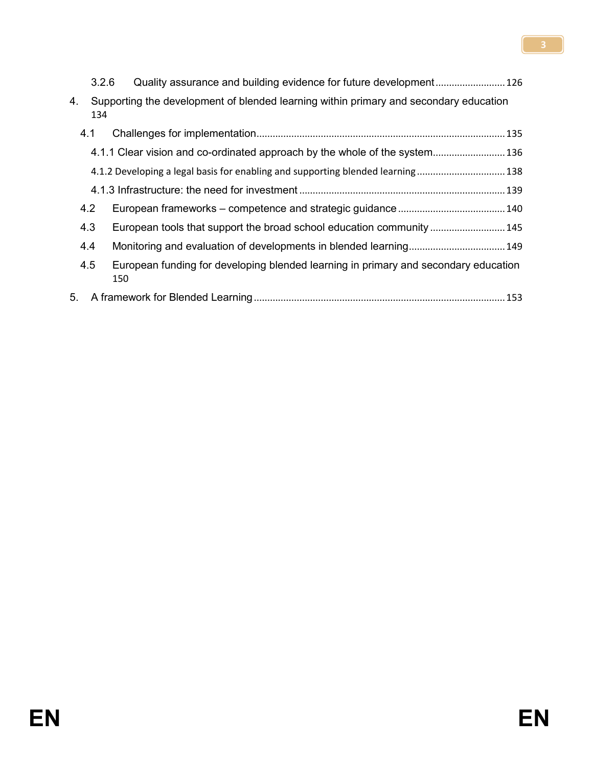|    |     | 3.2.6 |                                                                                       |
|----|-----|-------|---------------------------------------------------------------------------------------|
| 4. |     | 134   | Supporting the development of blended learning within primary and secondary education |
|    | 4.1 |       |                                                                                       |
|    |     |       | 4.1.1 Clear vision and co-ordinated approach by the whole of the system 136           |
|    |     |       | 4.1.2 Developing a legal basis for enabling and supporting blended learning 138       |
|    |     |       |                                                                                       |
|    | 4.2 |       |                                                                                       |
|    | 4.3 |       | European tools that support the broad school education community  145                 |
|    | 4.4 |       |                                                                                       |
|    | 4.5 | 150   | European funding for developing blended learning in primary and secondary education   |
| 5. |     |       |                                                                                       |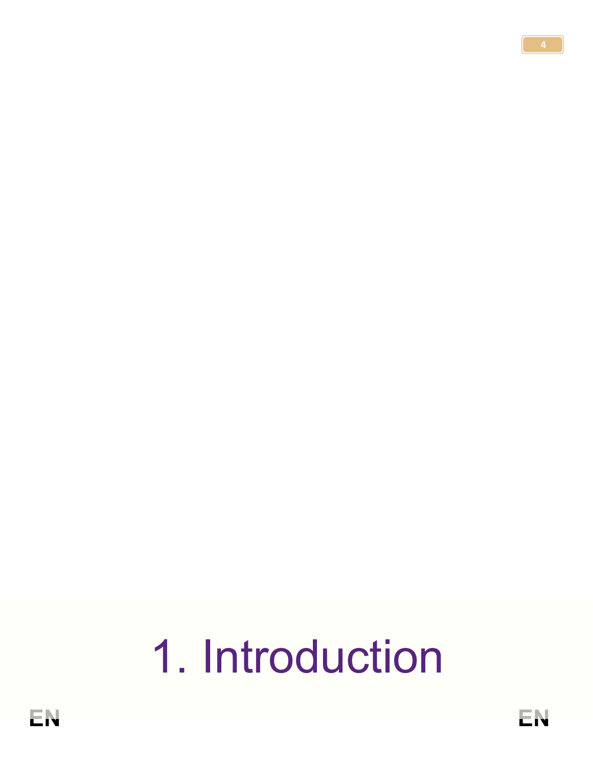# 1. Introduction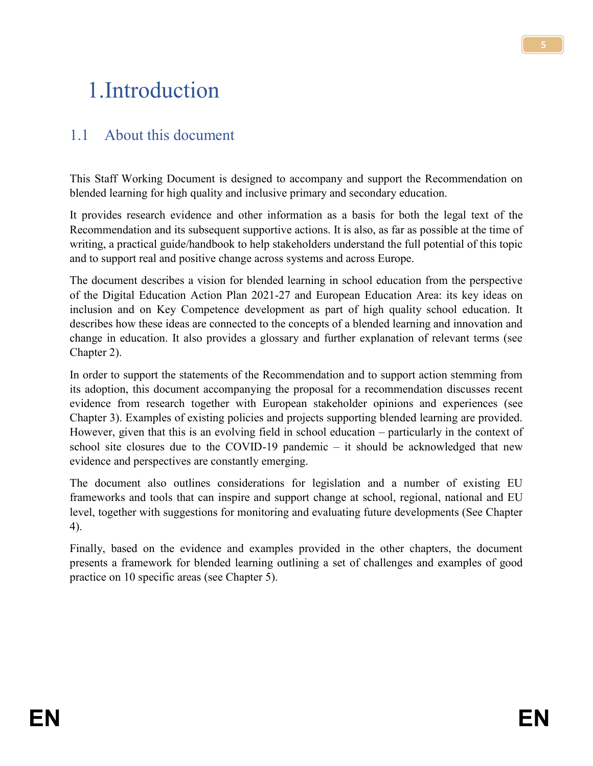## <span id="page-6-0"></span>1.Introduction

## <span id="page-6-1"></span>1.1 About this document

This Staff Working Document is designed to accompany and support the Recommendation on blended learning for high quality and inclusive primary and secondary education.

It provides research evidence and other information as a basis for both the legal text of the Recommendation and its subsequent supportive actions. It is also, as far as possible at the time of writing, a practical guide/handbook to help stakeholders understand the full potential of this topic and to support real and positive change across systems and across Europe.

The document describes a vision for blended learning in school education from the perspective of the Digital Education Action Plan 2021-27 and European Education Area: its key ideas on inclusion and on Key Competence development as part of high quality school education. It describes how these ideas are connected to the concepts of a blended learning and innovation and change in education. It also provides a glossary and further explanation of relevant terms (see Chapter 2).

In order to support the statements of the Recommendation and to support action stemming from its adoption, this document accompanying the proposal for a recommendation discusses recent evidence from research together with European stakeholder opinions and experiences (see Chapter 3). Examples of existing policies and projects supporting blended learning are provided. However, given that this is an evolving field in school education – particularly in the context of school site closures due to the COVID-19 pandemic – it should be acknowledged that new evidence and perspectives are constantly emerging.

The document also outlines considerations for legislation and a number of existing EU frameworks and tools that can inspire and support change at school, regional, national and EU level, together with suggestions for monitoring and evaluating future developments (See Chapter 4).

Finally, based on the evidence and examples provided in the other chapters, the document presents a framework for blended learning outlining a set of challenges and examples of good practice on 10 specific areas (see Chapter 5).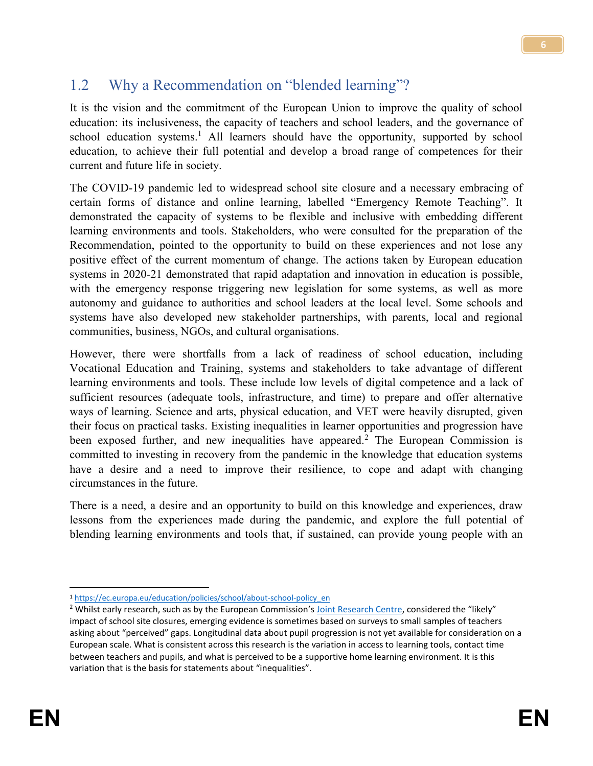## <span id="page-7-0"></span>1.2 Why a Recommendation on "blended learning"?

It is the vision and the commitment of the European Union to improve the quality of school education: its inclusiveness, the capacity of teachers and school leaders, and the governance of school education systems.<sup>1</sup> All learners should have the opportunity, supported by school education, to achieve their full potential and develop a broad range of competences for their current and future life in society.

The COVID-19 pandemic led to widespread school site closure and a necessary embracing of certain forms of distance and online learning, labelled "Emergency Remote Teaching". It demonstrated the capacity of systems to be flexible and inclusive with embedding different learning environments and tools. Stakeholders, who were consulted for the preparation of the Recommendation, pointed to the opportunity to build on these experiences and not lose any positive effect of the current momentum of change. The actions taken by European education systems in 2020-21 demonstrated that rapid adaptation and innovation in education is possible, with the emergency response triggering new legislation for some systems, as well as more autonomy and guidance to authorities and school leaders at the local level. Some schools and systems have also developed new stakeholder partnerships, with parents, local and regional communities, business, NGOs, and cultural organisations.

However, there were shortfalls from a lack of readiness of school education, including Vocational Education and Training, systems and stakeholders to take advantage of different learning environments and tools. These include low levels of digital competence and a lack of sufficient resources (adequate tools, infrastructure, and time) to prepare and offer alternative ways of learning. Science and arts, physical education, and VET were heavily disrupted, given their focus on practical tasks. Existing inequalities in learner opportunities and progression have been exposed further, and new inequalities have appeared.<sup>2</sup> The European Commission is committed to investing in recovery from the pandemic in the knowledge that education systems have a desire and a need to improve their resilience, to cope and adapt with changing circumstances in the future.

There is a need, a desire and an opportunity to build on this knowledge and experiences, draw lessons from the experiences made during the pandemic, and explore the full potential of blending learning environments and tools that, if sustained, can provide young people with an

 $\overline{a}$ <sup>1</sup> [https://ec.europa.eu/education/policies/school/about-school-policy\\_en](https://ec.europa.eu/education/policies/school/about-school-policy_en)

<sup>&</sup>lt;sup>2</sup> Whilst early research, such as by the European Commission's [Joint Research Centre](https://ec.europa.eu/jrc/en/publication/likely-impact-covid-19-education-reflections-based-existing-literature-and-recent-international), considered the "likely" impact of school site closures, emerging evidence is sometimes based on surveys to small samples of teachers asking about "perceived" gaps. Longitudinal data about pupil progression is not yet available for consideration on a European scale. What is consistent across this research is the variation in access to learning tools, contact time between teachers and pupils, and what is perceived to be a supportive home learning environment. It is this variation that is the basis for statements about "inequalities".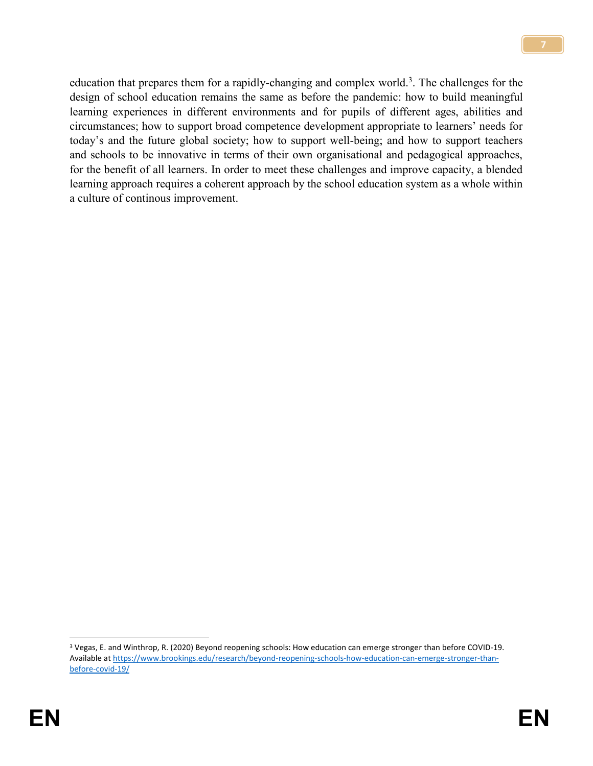education that prepares them for a rapidly-changing and complex world.<sup>3</sup>. The challenges for the design of school education remains the same as before the pandemic: how to build meaningful learning experiences in different environments and for pupils of different ages, abilities and circumstances; how to support broad competence development appropriate to learners' needs for today's and the future global society; how to support well-being; and how to support teachers and schools to be innovative in terms of their own organisational and pedagogical approaches, for the benefit of all learners. In order to meet these challenges and improve capacity, a blended learning approach requires a coherent approach by the school education system as a whole within a culture of continous improvement.

 $\overline{a}$ 

<sup>3</sup> Vegas, E. and Winthrop, R. (2020) Beyond reopening schools: How education can emerge stronger than before COVID-19. Available a[t https://www.brookings.edu/research/beyond-reopening-schools-how-education-can-emerge-stronger-than](https://www.brookings.edu/research/beyond-reopening-schools-how-education-can-emerge-stronger-than-before-covid-19/)[before-covid-19/](https://www.brookings.edu/research/beyond-reopening-schools-how-education-can-emerge-stronger-than-before-covid-19/)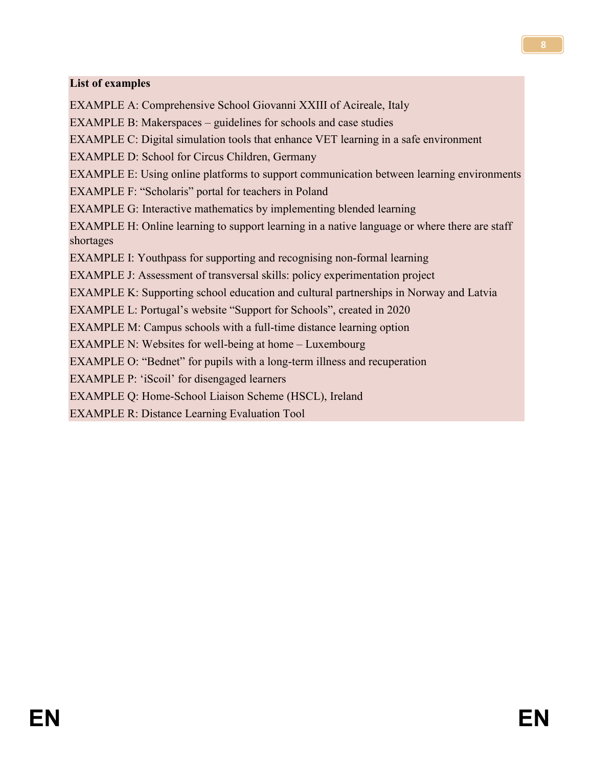#### **List of examples**

EXAMPLE A: Comprehensive School Giovanni XXIII of Acireale, Italy EXAMPLE B: Makerspaces – guidelines for schools and case studies EXAMPLE C: Digital simulation tools that enhance VET learning in a safe environment EXAMPLE D: School for Circus Children, Germany EXAMPLE E: Using online platforms to support communication between learning environments EXAMPLE F: "Scholaris" portal for teachers in Poland EXAMPLE G: Interactive mathematics by implementing blended learning EXAMPLE H: Online learning to support learning in a native language or where there are staff shortages EXAMPLE I: Youthpass for supporting and recognising non-formal learning EXAMPLE J: Assessment of transversal skills: policy experimentation project EXAMPLE K: Supporting school education and cultural partnerships in Norway and Latvia EXAMPLE L: Portugal's website "Support for Schools", created in 2020 EXAMPLE M: Campus schools with a full-time distance learning option EXAMPLE N: Websites for well-being at home – Luxembourg EXAMPLE O: "Bednet" for pupils with a long-term illness and recuperation EXAMPLE P: 'iScoil' for disengaged learners EXAMPLE Q: Home-School Liaison Scheme (HSCL), Ireland

EXAMPLE R: Distance Learning Evaluation Tool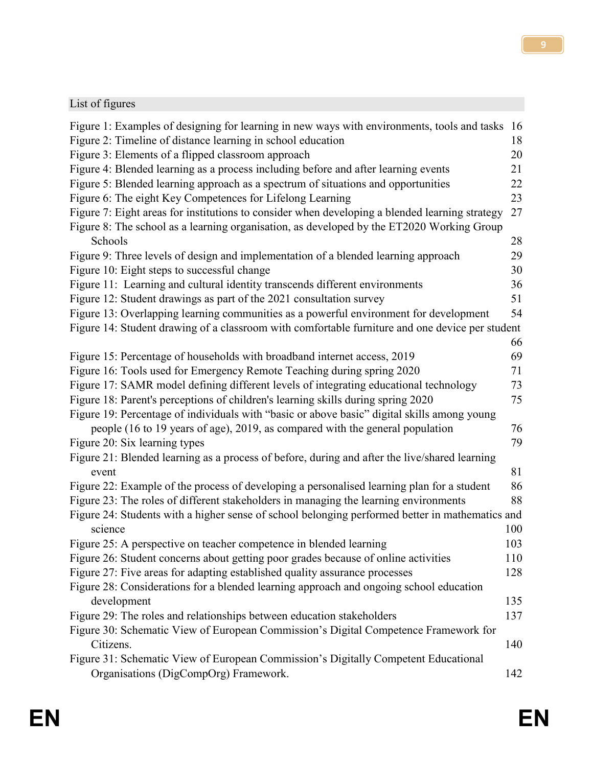### List of figures

| Figure 1: Examples of designing for learning in new ways with environments, tools and tasks     | 16  |
|-------------------------------------------------------------------------------------------------|-----|
| Figure 2: Timeline of distance learning in school education                                     | 18  |
| Figure 3: Elements of a flipped classroom approach                                              | 20  |
| Figure 4: Blended learning as a process including before and after learning events              | 21  |
| Figure 5: Blended learning approach as a spectrum of situations and opportunities               | 22  |
| Figure 6: The eight Key Competences for Lifelong Learning                                       | 23  |
| Figure 7: Eight areas for institutions to consider when developing a blended learning strategy  | 27  |
| Figure 8: The school as a learning organisation, as developed by the ET2020 Working Group       |     |
| Schools                                                                                         | 28  |
| Figure 9: Three levels of design and implementation of a blended learning approach              | 29  |
| Figure 10: Eight steps to successful change                                                     | 30  |
| Figure 11: Learning and cultural identity transcends different environments                     | 36  |
| Figure 12: Student drawings as part of the 2021 consultation survey                             | 51  |
| Figure 13: Overlapping learning communities as a powerful environment for development           | 54  |
| Figure 14: Student drawing of a classroom with comfortable furniture and one device per student |     |
|                                                                                                 | 66  |
| Figure 15: Percentage of households with broadband internet access, 2019                        | 69  |
| Figure 16: Tools used for Emergency Remote Teaching during spring 2020                          | 71  |
| Figure 17: SAMR model defining different levels of integrating educational technology           | 73  |
| Figure 18: Parent's perceptions of children's learning skills during spring 2020                | 75  |
| Figure 19: Percentage of individuals with "basic or above basic" digital skills among young     |     |
| people (16 to 19 years of age), 2019, as compared with the general population                   | 76  |
| Figure 20: Six learning types                                                                   | 79  |
| Figure 21: Blended learning as a process of before, during and after the live/shared learning   |     |
| event                                                                                           | 81  |
| Figure 22: Example of the process of developing a personalised learning plan for a student      | 86  |
| Figure 23: The roles of different stakeholders in managing the learning environments            | 88  |
| Figure 24: Students with a higher sense of school belonging performed better in mathematics and |     |
| science                                                                                         | 100 |
| Figure 25: A perspective on teacher competence in blended learning                              | 103 |
| Figure 26: Student concerns about getting poor grades because of online activities              | 110 |
| Figure 27: Five areas for adapting established quality assurance processes                      | 128 |
| Figure 28: Considerations for a blended learning approach and ongoing school education          |     |
| development                                                                                     | 135 |
| Figure 29: The roles and relationships between education stakeholders                           | 137 |
| Figure 30: Schematic View of European Commission's Digital Competence Framework for             |     |
| Citizens.                                                                                       | 140 |
| Figure 31: Schematic View of European Commission's Digitally Competent Educational              |     |
| Organisations (DigCompOrg) Framework.                                                           | 142 |